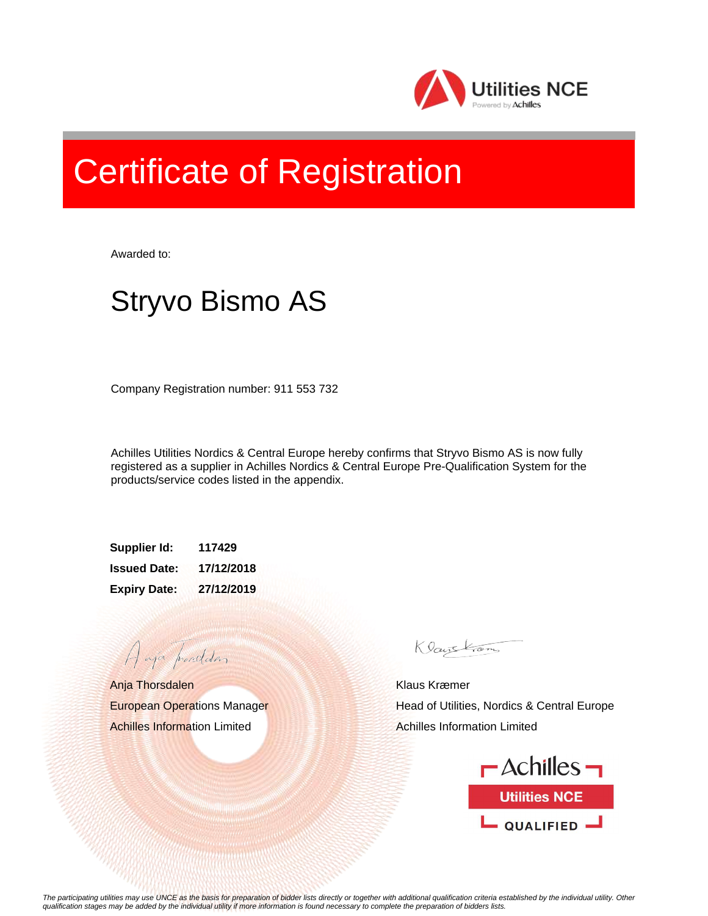

## Certificate of Registration

Awarded to:

## Stryvo Bismo AS

Company Registration number: 911 553 732

Achilles Utilities Nordics & Central Europe hereby confirms that Stryvo Bismo AS is now fully registered as a supplier in Achilles Nordics & Central Europe Pre-Qualification System for the products/service codes listed in the appendix.

**Supplier Id: 117429 Issued Date: 17/12/2018 Expiry Date: 27/12/2019**

Anja Thorsdalen European Operations Manager Achilles Information Limited

A aja providdan

Klauskam

Klaus Kræmer Head of Utilities, Nordics & Central Europe Achilles Information Limited



*The participating utilities may use UNCE as the basis for preparation of bidder lists directly or together with additional qualification criteria established by the individual utility. Other qualification stages may be added by the individual utility if more information is found necessary to complete the preparation of bidders lists.*